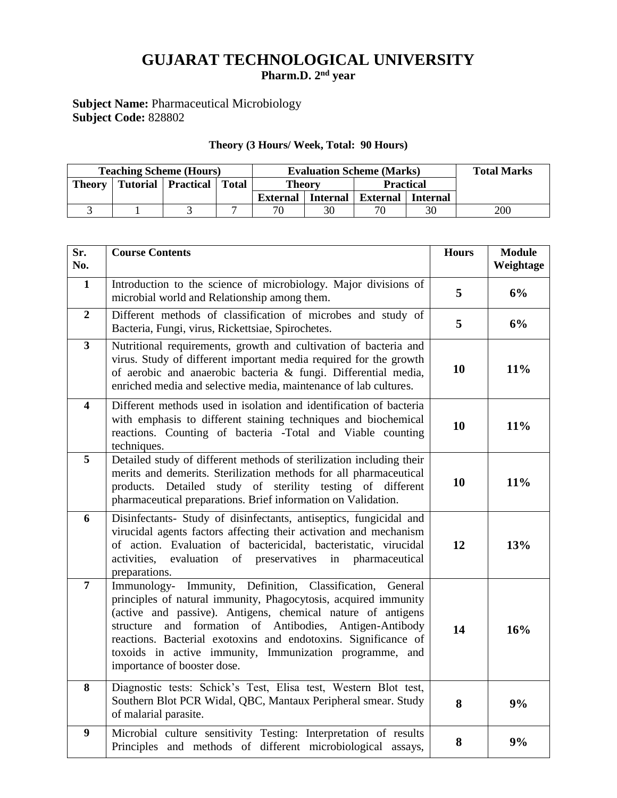# **GUJARAT TECHNOLOGICAL UNIVERSITY**

**Pharm.D. 2 nd year**

## **Subject Name:** Pharmaceutical Microbiology **Subject Code:** 828802

## **Theory (3 Hours/ Week, Total: 90 Hours)**

|               | <b>Teaching Scheme (Hours)</b> |                              |  | <b>Evaluation Scheme (Marks)</b> |                 |                     |    | <b>Total Marks</b> |
|---------------|--------------------------------|------------------------------|--|----------------------------------|-----------------|---------------------|----|--------------------|
| <b>Theory</b> |                                | Tutorial   Practical   Total |  | <b>Theory</b>                    |                 | <b>Practical</b>    |    |                    |
|               |                                |                              |  | <b>External</b>                  | <b>Internal</b> | External   Internal |    |                    |
|               |                                |                              |  | 70                               | 30              | 70                  | 30 | 200                |

| Sr.<br>No.              | <b>Course Contents</b>                                                                                                                                                                                                                                                                                                                                                                                             | <b>Hours</b> | <b>Module</b><br>Weightage |
|-------------------------|--------------------------------------------------------------------------------------------------------------------------------------------------------------------------------------------------------------------------------------------------------------------------------------------------------------------------------------------------------------------------------------------------------------------|--------------|----------------------------|
| $\mathbf{1}$            | Introduction to the science of microbiology. Major divisions of<br>microbial world and Relationship among them.                                                                                                                                                                                                                                                                                                    | 5            | 6%                         |
| $\boldsymbol{2}$        | Different methods of classification of microbes and study of<br>Bacteria, Fungi, virus, Rickettsiae, Spirochetes.                                                                                                                                                                                                                                                                                                  | 5            | 6%                         |
| $\overline{\mathbf{3}}$ | Nutritional requirements, growth and cultivation of bacteria and<br>virus. Study of different important media required for the growth<br>of aerobic and anaerobic bacteria & fungi. Differential media,<br>enriched media and selective media, maintenance of lab cultures.                                                                                                                                        | 10           | 11%                        |
| $\overline{\mathbf{4}}$ | Different methods used in isolation and identification of bacteria<br>with emphasis to different staining techniques and biochemical<br>reactions. Counting of bacteria -Total and Viable counting<br>techniques.                                                                                                                                                                                                  | 10           | 11%                        |
| $\overline{5}$          | Detailed study of different methods of sterilization including their<br>merits and demerits. Sterilization methods for all pharmaceutical<br>products. Detailed study of sterility testing of different<br>pharmaceutical preparations. Brief information on Validation.                                                                                                                                           | 10           | 11%                        |
| 6                       | Disinfectants- Study of disinfectants, antiseptics, fungicidal and<br>virucidal agents factors affecting their activation and mechanism<br>of action. Evaluation of bactericidal, bacteristatic, virucidal<br>evaluation of preservatives in pharmaceutical<br>activities,<br>preparations.                                                                                                                        | 12           | 13%                        |
| $\overline{7}$          | Immunology- Immunity, Definition, Classification, General<br>principles of natural immunity, Phagocytosis, acquired immunity<br>(active and passive). Antigens, chemical nature of antigens<br>structure and formation of Antibodies, Antigen-Antibody<br>reactions. Bacterial exotoxins and endotoxins. Significance of<br>toxoids in active immunity, Immunization programme, and<br>importance of booster dose. | 14           | 16%                        |
| 8                       | Diagnostic tests: Schick's Test, Elisa test, Western Blot test,<br>Southern Blot PCR Widal, QBC, Mantaux Peripheral smear. Study<br>of malarial parasite.                                                                                                                                                                                                                                                          | 8            | 9%                         |
| $\boldsymbol{9}$        | Microbial culture sensitivity Testing: Interpretation of results<br>Principles and methods of different microbiological assays,                                                                                                                                                                                                                                                                                    | 8            | 9%                         |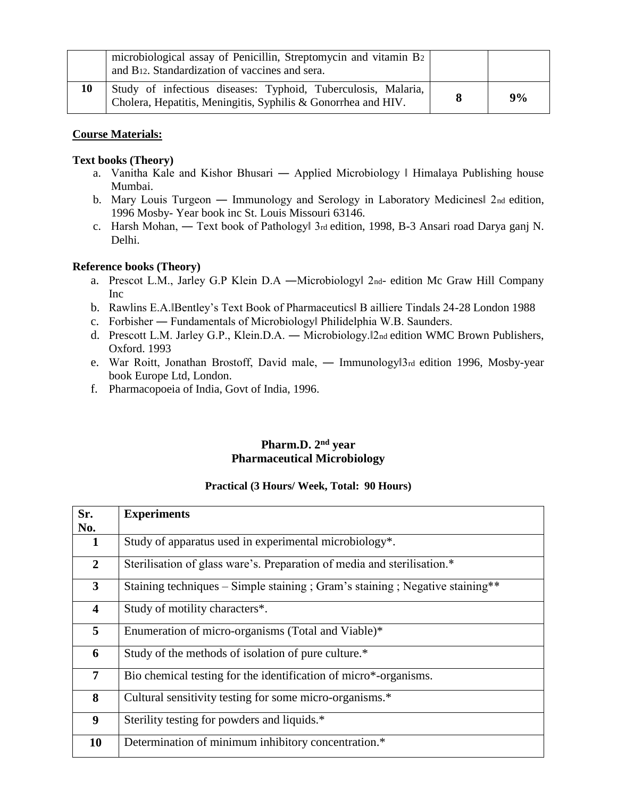|    | microbiological assay of Penicillin, Streptomycin and vitamin B <sub>2</sub><br>and B <sub>12</sub> . Standardization of vaccines and sera. |    |
|----|---------------------------------------------------------------------------------------------------------------------------------------------|----|
| 10 | Study of infectious diseases: Typhoid, Tuberculosis, Malaria,<br>Cholera, Hepatitis, Meningitis, Syphilis & Gonorrhea and HIV.              | 9% |

## **Course Materials:**

## **Text books (Theory)**

- a. Vanitha Kale and Kishor Bhusari ― Applied Microbiology ‖ Himalaya Publishing house Mumbai.
- b. Mary Louis Turgeon Immunology and Serology in Laboratory Medicines 2nd edition, 1996 Mosby- Year book inc St. Louis Missouri 63146.
- c. Harsh Mohan, ― Text book of Pathology‖ 3rd edition, 1998, B-3 Ansari road Darya ganj N. Delhi.

### **Reference books (Theory)**

- a. Prescot L.M., Jarley G.P Klein D.A —Microbiology 2nd- edition Mc Graw Hill Company Inc
- b. Rawlins E.A.‖Bentley's Text Book of Pharmaceutics‖ B ailliere Tindals 24-28 London 1988
- c. Forbisher ― Fundamentals of Microbiology‖ Philidelphia W.B. Saunders.
- d. Prescott L.M. Jarley G.P., Klein.D.A. ― Microbiology.‖2nd edition WMC Brown Publishers, Oxford. 1993
- e. War Roitt, Jonathan Brostoff, David male, Immunology 3rd edition 1996, Mosby-year book Europe Ltd, London.
- f. Pharmacopoeia of India, Govt of India, 1996.

## **Pharm.D. 2nd year Pharmaceutical Microbiology**

#### **Practical (3 Hours/ Week, Total: 90 Hours)**

| Sr.                     | <b>Experiments</b>                                                            |
|-------------------------|-------------------------------------------------------------------------------|
| No.                     |                                                                               |
|                         |                                                                               |
|                         | Study of apparatus used in experimental microbiology*.                        |
|                         |                                                                               |
| $\overline{2}$          | Sterilisation of glass ware's. Preparation of media and sterilisation.*       |
|                         |                                                                               |
|                         |                                                                               |
| 3 <sup>1</sup>          | Staining techniques - Simple staining ; Gram's staining ; Negative staining** |
|                         |                                                                               |
| $\overline{\mathbf{4}}$ | Study of motility characters*.                                                |
|                         |                                                                               |
| 5                       | Enumeration of micro-organisms (Total and Viable)*                            |
|                         |                                                                               |
|                         |                                                                               |
| 6                       | Study of the methods of isolation of pure culture.*                           |
|                         |                                                                               |
| 7 <sup>1</sup>          | Bio chemical testing for the identification of micro*-organisms.              |
|                         |                                                                               |
| 8                       | Cultural sensitivity testing for some micro-organisms.*                       |
|                         |                                                                               |
|                         |                                                                               |
| 9                       | Sterility testing for powders and liquids.*                                   |
|                         |                                                                               |
| 10                      | Determination of minimum inhibitory concentration.*                           |
|                         |                                                                               |